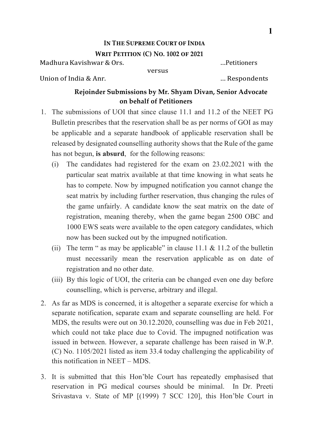## **IN THE SUPREME COURT OF INDIA**

## **WRIT PETITION (C) NO. 1002 OF 2021**

Madhura Kavishwar & Ors. …Petitioners

versus

Union of India & Anr. … Respondents

## **Rejoinder Submissions by Mr. Shyam Divan, Senior Advocate on behalf of Petitioners**

- 1. The submissions of UOI that since clause 11.1 and 11.2 of the NEET PG Bulletin prescribes that the reservation shall be as per norms of GOI as may be applicable and a separate handbook of applicable reservation shall be released by designated counselling authority shows that the Rule of the game has not begun, **is absurd**, for the following reasons:
	- (i) The candidates had registered for the exam on 23.02.2021 with the particular seat matrix available at that time knowing in what seats he has to compete. Now by impugned notification you cannot change the seat matrix by including further reservation, thus changing the rules of the game unfairly. A candidate know the seat matrix on the date of registration, meaning thereby, when the game began 2500 OBC and 1000 EWS seats were available to the open category candidates, which now has been sucked out by the impugned notification.
	- (ii) The term " as may be applicable" in clause  $11.1 \& 11.2$  of the bulletin must necessarily mean the reservation applicable as on date of registration and no other date.
	- (iii) By this logic of UOI, the criteria can be changed even one day before counselling, which is perverse, arbitrary and illegal.
- 2. As far as MDS is concerned, it is altogether a separate exercise for which a separate notification, separate exam and separate counselling are held. For MDS, the results were out on 30.12.2020, counselling was due in Feb 2021, which could not take place due to Covid. The impugned notification was issued in between. However, a separate challenge has been raised in W.P. (C) No. 1105/2021 listed as item 33.4 today challenging the applicability of this notification in NEET – MDS.
- 3. It is submitted that this Hon'ble Court has repeatedly emphasised that reservation in PG medical courses should be minimal. In Dr. Preeti Srivastava v. State of MP [(1999) 7 SCC 120], this Hon'ble Court in

**1**